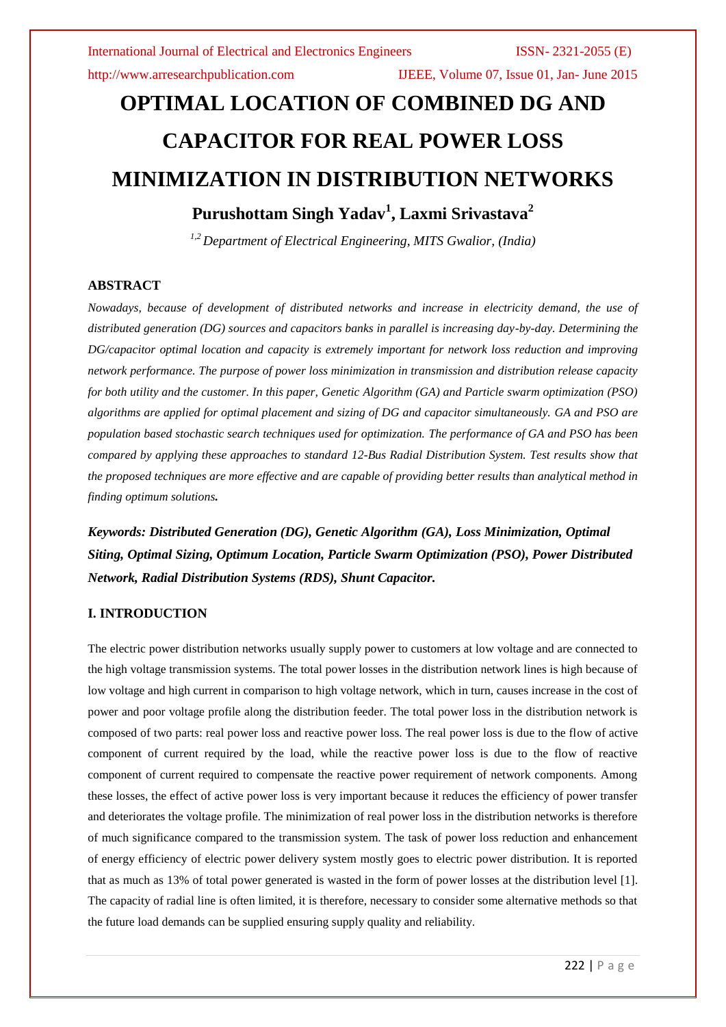http://www.arresearchpublication.com IJEEE, Volume 07, Issue 01, Jan- June 2015

# **OPTIMAL LOCATION OF COMBINED DG AND CAPACITOR FOR REAL POWER LOSS MINIMIZATION IN DISTRIBUTION NETWORKS**

# **Purushottam Singh Yadav<sup>1</sup> , Laxmi Srivastava<sup>2</sup>**

*1,2 Department of Electrical Engineering, MITS Gwalior, (India)*

# **ABSTRACT**

*Nowadays, because of development of distributed networks and increase in electricity demand, the use of distributed generation (DG) sources and capacitors banks in parallel is increasing day-by-day. Determining the DG/capacitor optimal location and capacity is extremely important for network loss reduction and improving network performance. The purpose of power loss minimization in transmission and distribution release capacity for both utility and the customer. In this paper, Genetic Algorithm (GA) and Particle swarm optimization (PSO) algorithms are applied for optimal placement and sizing of DG and capacitor simultaneously. GA and PSO are population based stochastic search techniques used for optimization. The performance of GA and PSO has been compared by applying these approaches to standard 12-Bus Radial Distribution System. Test results show that the proposed techniques are more effective and are capable of providing better results than analytical method in finding optimum solutions.*

*Keywords: Distributed Generation (DG), Genetic Algorithm (GA), Loss Minimization, Optimal Siting, Optimal Sizing, Optimum Location, Particle Swarm Optimization (PSO), Power Distributed Network, Radial Distribution Systems (RDS), Shunt Capacitor.*

# **I. INTRODUCTION**

The electric power distribution networks usually supply power to customers at low voltage and are connected to the high voltage transmission systems. The total power losses in the distribution network lines is high because of low voltage and high current in comparison to high voltage network, which in turn, causes increase in the cost of power and poor voltage profile along the distribution feeder. The total power loss in the distribution network is composed of two parts: real power loss and reactive power loss. The real power loss is due to the flow of active component of current required by the load, while the reactive power loss is due to the flow of reactive component of current required to compensate the reactive power requirement of network components. Among these losses, the effect of active power loss is very important because it reduces the efficiency of power transfer and deteriorates the voltage profile. The minimization of real power loss in the distribution networks is therefore of much significance compared to the transmission system. The task of power loss reduction and enhancement of energy efficiency of electric power delivery system mostly goes to electric power distribution. It is reported that as much as 13% of total power generated is wasted in the form of power losses at the distribution level [1]. The capacity of radial line is often limited, it is therefore, necessary to consider some alternative methods so that the future load demands can be supplied ensuring supply quality and reliability.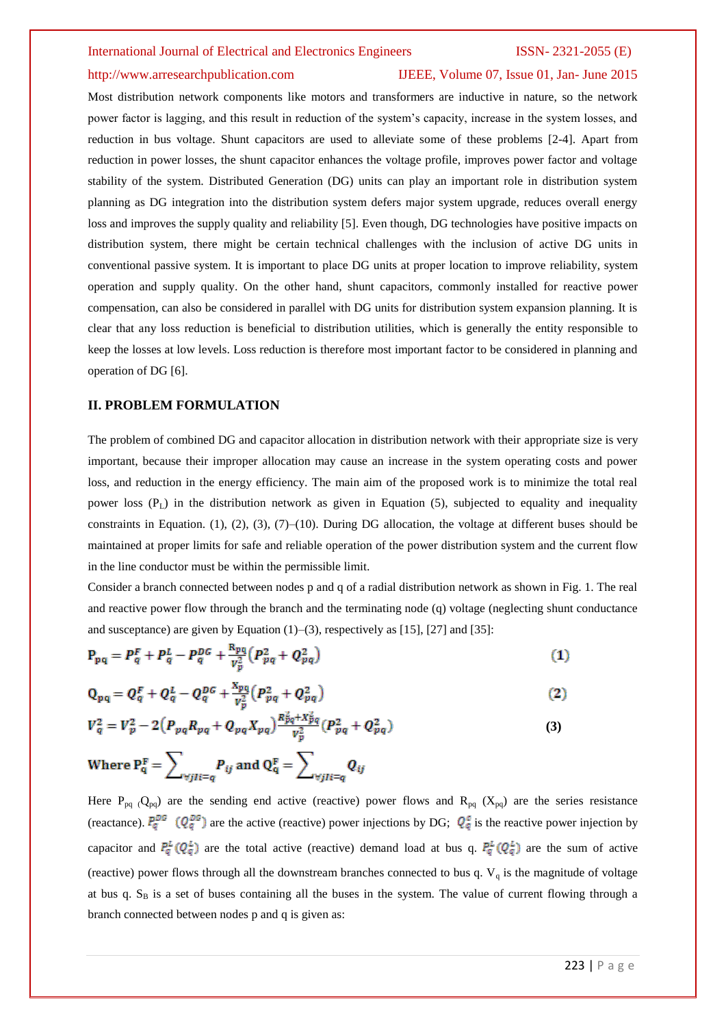## http://www.arresearchpublication.com IJEEE, Volume 07, Issue 01, Jan- June 2015

Most distribution network components like motors and transformers are inductive in nature, so the network power factor is lagging, and this result in reduction of the system's capacity, increase in the system losses, and reduction in bus voltage. Shunt capacitors are used to alleviate some of these problems [2-4]. Apart from reduction in power losses, the shunt capacitor enhances the voltage profile, improves power factor and voltage stability of the system. Distributed Generation (DG) units can play an important role in distribution system planning as DG integration into the distribution system defers major system upgrade, reduces overall energy loss and improves the supply quality and reliability [5]. Even though, DG technologies have positive impacts on distribution system, there might be certain technical challenges with the inclusion of active DG units in conventional passive system. It is important to place DG units at proper location to improve reliability, system operation and supply quality. On the other hand, shunt capacitors, commonly installed for reactive power compensation, can also be considered in parallel with DG units for distribution system expansion planning. It is clear that any loss reduction is beneficial to distribution utilities, which is generally the entity responsible to keep the losses at low levels. Loss reduction is therefore most important factor to be considered in planning and operation of DG [6].

# **II. PROBLEM FORMULATION**

The problem of combined DG and capacitor allocation in distribution network with their appropriate size is very important, because their improper allocation may cause an increase in the system operating costs and power loss, and reduction in the energy efficiency. The main aim of the proposed work is to minimize the total real power loss  $(P_1)$  in the distribution network as given in Equation (5), subjected to equality and inequality constraints in Equation. (1), (2), (3), (7)–(10). During DG allocation, the voltage at different buses should be maintained at proper limits for safe and reliable operation of the power distribution system and the current flow in the line conductor must be within the permissible limit.

Consider a branch connected between nodes p and q of a radial distribution network as shown in Fig. 1. The real and reactive power flow through the branch and the terminating node (q) voltage (neglecting shunt conductance and susceptance) are given by Equation  $(1)$ – $(3)$ , respectively as [15], [27] and [35]:

$$
P_{pq} = P_q^F + P_q^L - P_q^{DG} + \frac{R_{pq}}{V_p^2} (P_{pq}^2 + Q_{pq}^2)
$$
 (1)

$$
Q_{pq} = Q_q^F + Q_q^L - Q_q^{DG} + \frac{x_{pq}}{v_p^2} (P_{pq}^2 + Q_{pq}^2)
$$
 (2)

$$
V_q^2 = V_p^2 - 2\left(P_{pq}R_{pq} + Q_{pq}X_{pq}\right)\frac{R_{pq}^2 + X_{pq}^2}{V_p^2}(P_{pq}^2 + Q_{pq}^2)
$$
\n(3)

Where 
$$
P_q^F = \sum_{\forall jI \in q} P_{ij}
$$
 and  $Q_q^F = \sum_{\forall jI \in q} Q_{ij}$ 

Here  $P_{pq}$  (Q<sub>pq</sub>) are the sending end active (reactive) power flows and R<sub>pq</sub> (X<sub>pq</sub>) are the series resistance (reactance).  $P_q^{DG}$  ( $Q_q^{DG}$ ) are the active (reactive) power injections by DG;  $Q_q^c$  is the reactive power injection by capacitor and  $P_q^L(Q_q^L)$  are the total active (reactive) demand load at bus q.  $P_q^L(Q_q^L)$  are the sum of active (reactive) power flows through all the downstream branches connected to bus q.  $V_q$  is the magnitude of voltage at bus q.  $S_B$  is a set of buses containing all the buses in the system. The value of current flowing through a branch connected between nodes p and q is given as: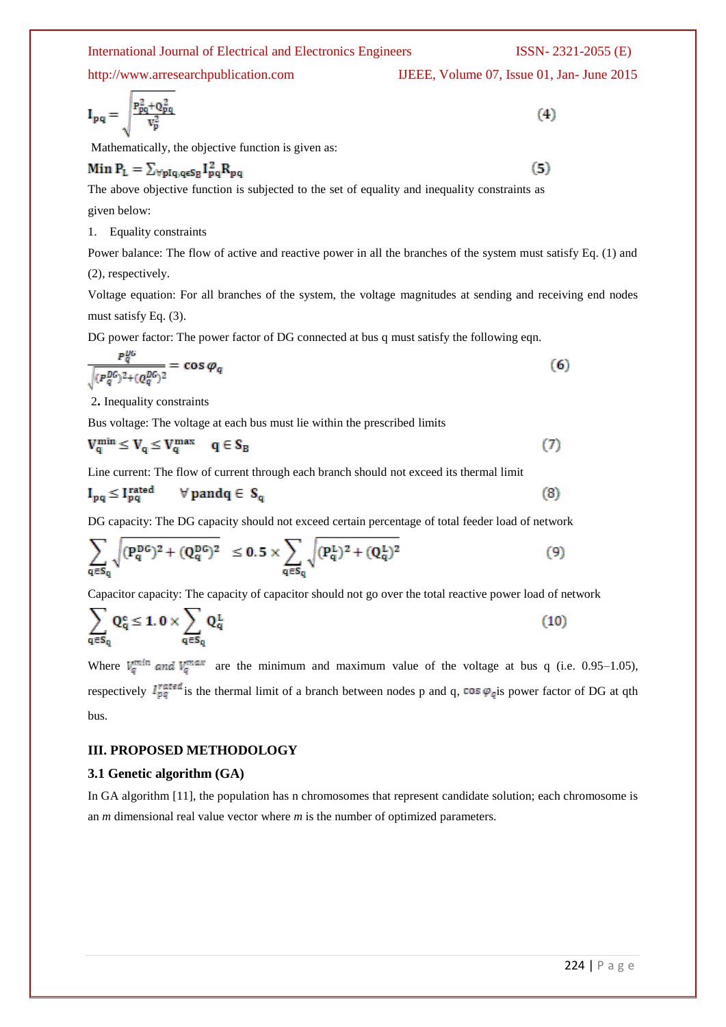http://www.arresearchpublication.com IJEEE, Volume 07, Issue 01, Jan- June 2015

$$
I_{pq} = \sqrt{\frac{P_{pq}^2 + Q_{pq}^2}{V_x^2}} \tag{4}
$$

Mathematically, the objective function is given as:

# Min  $P_L = \sum_{\forall p \mid q, q \in S_R} I_{pq}^2 R_{pq}$

The above objective function is subjected to the set of equality and inequality constraints as given below:

1. Equality constraints

Power balance: The flow of active and reactive power in all the branches of the system must satisfy Eq. (1) and (2), respectively.

Voltage equation: For all branches of the system, the voltage magnitudes at sending and receiving end nodes must satisfy Eq. (3).

DG power factor: The power factor of DG connected at bus q must satisfy the following eqn.

$$
\frac{P_q^{0b}}{\sqrt{(P_q^{0b})^2 + (Q_q^{0b})^2}} = \cos \varphi_q \tag{6}
$$

2**.** Inequality constraints

Bus voltage: The voltage at each bus must lie within the prescribed limits

$$
V_q^{\min} \le V_q \le V_q^{\max} \quad q \in S_B \tag{7}
$$

Line current: The flow of current through each branch should not exceed its thermal limit

$$
I_{pq} \le I_{pq}^{\text{rated}} \qquad \forall \, p \text{and} q \in S_q \tag{8}
$$

DG capacity: The DG capacity should not exceed certain percentage of total feeder load of network

$$
\sum_{q \in S_q} \sqrt{(P_q^{DG})^2 + (Q_q^{DG})^2} \le 0.5 \times \sum_{q \in S_q} \sqrt{(P_q^L)^2 + (Q_q^L)^2}
$$
\n(9)

Capacitor capacity: The capacity of capacitor should not go over the total reactive power load of network

$$
\sum_{q \in S_q} Q_q^c \le 1.0 \times \sum_{q \in S_q} Q_q^L \tag{10}
$$

Where  $V_q^{min}$  and  $V_q^{max}$  are the minimum and maximum value of the voltage at bus q (i.e. 0.95–1.05), respectively  $I_{pq}^{rated}$  is the thermal limit of a branch between nodes p and q, cos  $\varphi_q$  is power factor of DG at qth bus.

# **III. PROPOSED METHODOLOGY**

# **3.1 Genetic algorithm (GA)**

In GA algorithm [11], the population has n chromosomes that represent candidate solution; each chromosome is an *m* dimensional real value vector where *m* is the number of optimized parameters.

 $(5)$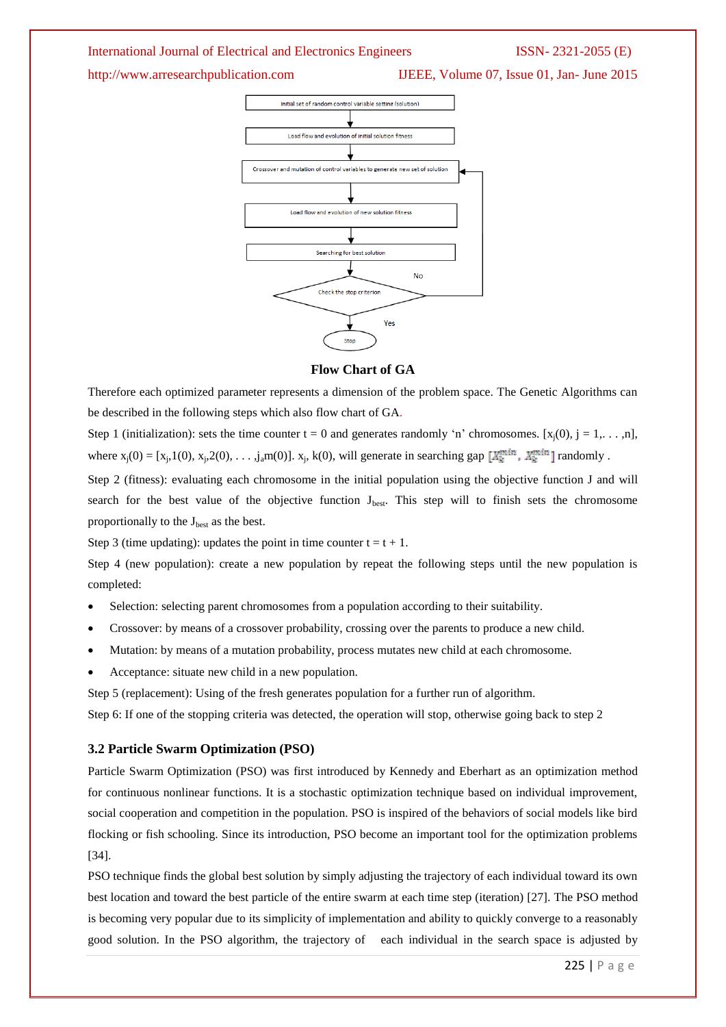http://www.arresearchpublication.com IJEEE, Volume 07, Issue 01, Jan- June 2015



### **Flow Chart of GA**

Therefore each optimized parameter represents a dimension of the problem space. The Genetic Algorithms can be described in the following steps which also flow chart of GA.

Step 1 (initialization): sets the time counter t = 0 and generates randomly 'n' chromosomes. [x<sub>i</sub>(0), j = 1,...,n], where  $x_j(0) = [x_j, 1(0), x_j, 2(0), \ldots, j_a m(0)]$ .  $x_j$ , k(0), will generate in searching gap  $[X_k^{min}, X_k^{min}]$  randomly.

Step 2 (fitness): evaluating each chromosome in the initial population using the objective function J and will search for the best value of the objective function  $J_{best}$ . This step will to finish sets the chromosome proportionally to the  $J_{best}$  as the best.

Step 3 (time updating): updates the point in time counter  $t = t + 1$ .

Step 4 (new population): create a new population by repeat the following steps until the new population is completed:

- Selection: selecting parent chromosomes from a population according to their suitability.
- Crossover: by means of a crossover probability, crossing over the parents to produce a new child.
- Mutation: by means of a mutation probability, process mutates new child at each chromosome.
- Acceptance: situate new child in a new population.

Step 5 (replacement): Using of the fresh generates population for a further run of algorithm.

Step 6: If one of the stopping criteria was detected, the operation will stop, otherwise going back to step 2

### **3.2 Particle Swarm Optimization (PSO)**

Particle Swarm Optimization (PSO) was first introduced by Kennedy and Eberhart as an optimization method for continuous nonlinear functions. It is a stochastic optimization technique based on individual improvement, social cooperation and competition in the population. PSO is inspired of the behaviors of social models like bird flocking or fish schooling. Since its introduction, PSO become an important tool for the optimization problems [34].

PSO technique finds the global best solution by simply adjusting the trajectory of each individual toward its own best location and toward the best particle of the entire swarm at each time step (iteration) [27]. The PSO method is becoming very popular due to its simplicity of implementation and ability to quickly converge to a reasonably good solution. In the PSO algorithm, the trajectory of each individual in the search space is adjusted by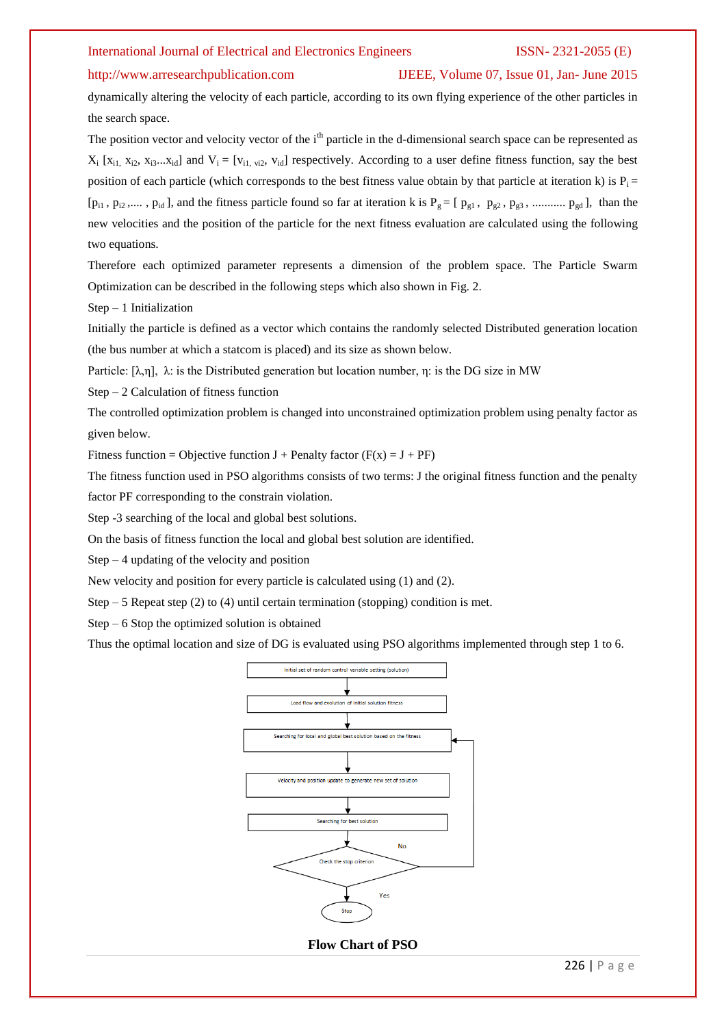### http://www.arresearchpublication.com IJEEE, Volume 07, Issue 01, Jan- June 2015

dynamically altering the velocity of each particle, according to its own flying experience of the other particles in the search space.

The position vector and velocity vector of the i<sup>th</sup> particle in the d-dimensional search space can be represented as  $X_i$  [ $x_{i1}$ ,  $x_{i2}$ ,  $x_{i3}$ ... $x_{id}$ ] and  $V_i = [v_{i1, vi2}, v_{id}]$  respectively. According to a user define fitness function, say the best position of each particle (which corresponds to the best fitness value obtain by that particle at iteration k) is  $P_i =$  $[p_{i1}, p_{i2}, \ldots, p_{id}]$ , and the fitness particle found so far at iteration k is  $P_g = [p_{g1}, p_{g2}, p_{g3}, \ldots, p_{gd}]$ , than the new velocities and the position of the particle for the next fitness evaluation are calculated using the following two equations.

Therefore each optimized parameter represents a dimension of the problem space. The Particle Swarm Optimization can be described in the following steps which also shown in Fig. 2.

Step – 1 Initialization

Initially the particle is defined as a vector which contains the randomly selected Distributed generation location (the bus number at which a statcom is placed) and its size as shown below.

Particle:  $[\lambda, \eta]$ ,  $\lambda$ : is the Distributed generation but location number,  $\eta$ : is the DG size in MW

Step – 2 Calculation of fitness function

The controlled optimization problem is changed into unconstrained optimization problem using penalty factor as given below.

Fitness function = Objective function  $J$  + Penalty factor ( $F(x) = J + PF$ )

The fitness function used in PSO algorithms consists of two terms: J the original fitness function and the penalty factor PF corresponding to the constrain violation.

Step -3 searching of the local and global best solutions.

On the basis of fitness function the local and global best solution are identified.

 $Step - 4$  updating of the velocity and position

New velocity and position for every particle is calculated using (1) and (2).

Step  $-5$  Repeat step (2) to (4) until certain termination (stopping) condition is met.

Step – 6 Stop the optimized solution is obtained

Thus the optimal location and size of DG is evaluated using PSO algorithms implemented through step 1 to 6.



226 | P a g e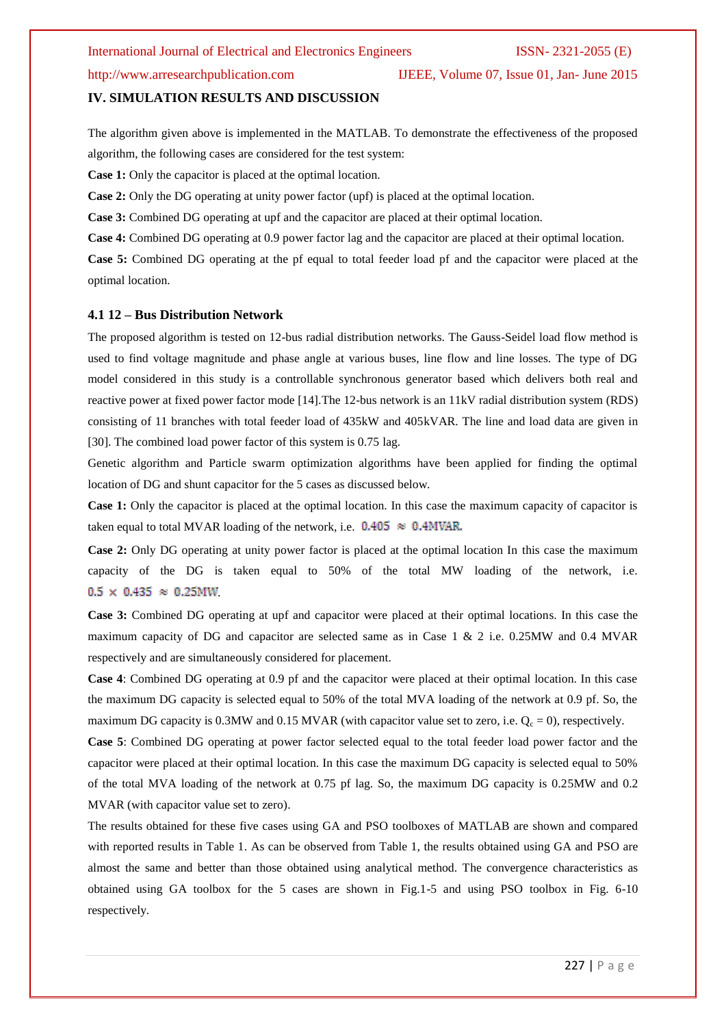# http://www.arresearchpublication.com IJEEE, Volume 07, Issue 01, Jan- June 2015

### **IV. SIMULATION RESULTS AND DISCUSSION**

The algorithm given above is implemented in the MATLAB. To demonstrate the effectiveness of the proposed algorithm, the following cases are considered for the test system:

**Case 1:** Only the capacitor is placed at the optimal location.

**Case 2:** Only the DG operating at unity power factor (upf) is placed at the optimal location.

**Case 3:** Combined DG operating at upf and the capacitor are placed at their optimal location.

**Case 4:** Combined DG operating at 0.9 power factor lag and the capacitor are placed at their optimal location.

**Case 5:** Combined DG operating at the pf equal to total feeder load pf and the capacitor were placed at the optimal location.

### **4.1 12 – Bus Distribution Network**

The proposed algorithm is tested on 12-bus radial distribution networks. The Gauss-Seidel load flow method is used to find voltage magnitude and phase angle at various buses, line flow and line losses. The type of DG model considered in this study is a controllable synchronous generator based which delivers both real and reactive power at fixed power factor mode [14].The 12-bus network is an 11kV radial distribution system (RDS) consisting of 11 branches with total feeder load of 435kW and 405kVAR. The line and load data are given in [30]. The combined load power factor of this system is 0.75 lag.

Genetic algorithm and Particle swarm optimization algorithms have been applied for finding the optimal location of DG and shunt capacitor for the 5 cases as discussed below.

**Case 1:** Only the capacitor is placed at the optimal location. In this case the maximum capacity of capacitor is taken equal to total MVAR loading of the network, i.e.  $0.405 \approx 0.4$ MVAR.

**Case 2:** Only DG operating at unity power factor is placed at the optimal location In this case the maximum capacity of the DG is taken equal to 50% of the total MW loading of the network, i.e.  $0.5 \times 0.435 \approx 0.25$ MW

**Case 3:** Combined DG operating at upf and capacitor were placed at their optimal locations. In this case the maximum capacity of DG and capacitor are selected same as in Case 1 & 2 i.e. 0.25MW and 0.4 MVAR respectively and are simultaneously considered for placement.

**Case 4**: Combined DG operating at 0.9 pf and the capacitor were placed at their optimal location. In this case the maximum DG capacity is selected equal to 50% of the total MVA loading of the network at 0.9 pf. So, the maximum DG capacity is 0.3MW and 0.15 MVAR (with capacitor value set to zero, i.e.  $Q_c = 0$ ), respectively.

**Case 5**: Combined DG operating at power factor selected equal to the total feeder load power factor and the capacitor were placed at their optimal location. In this case the maximum DG capacity is selected equal to 50% of the total MVA loading of the network at 0.75 pf lag. So, the maximum DG capacity is 0.25MW and 0.2 MVAR (with capacitor value set to zero).

The results obtained for these five cases using GA and PSO toolboxes of MATLAB are shown and compared with reported results in Table 1. As can be observed from Table 1, the results obtained using GA and PSO are almost the same and better than those obtained using analytical method. The convergence characteristics as obtained using GA toolbox for the 5 cases are shown in Fig.1-5 and using PSO toolbox in Fig. 6-10 respectively.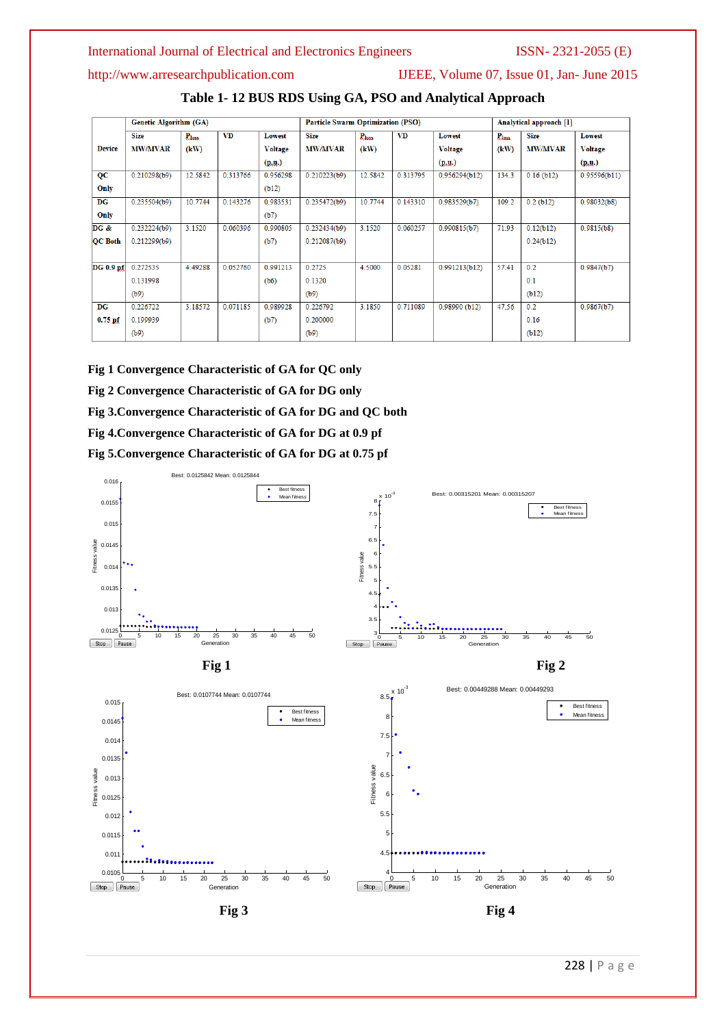http://www.arresearchpublication.com IJEEE, Volume 07, Issue 01, Jan- June 2015

|  |  | Table 1-12 BUS RDS Using GA, PSO and Analytical Approach |
|--|--|----------------------------------------------------------|
|--|--|----------------------------------------------------------|

|                | <b>Genetic Algorithm (GA)</b> |                   |           | <b>Particle Swarm Optimization (PSO)</b> |                |                   | Analytical approach [1] |                |                   |                |                |
|----------------|-------------------------------|-------------------|-----------|------------------------------------------|----------------|-------------------|-------------------------|----------------|-------------------|----------------|----------------|
|                | <b>Size</b>                   | P <sub>loss</sub> | <b>VD</b> | Lowest                                   | <b>Size</b>    | P <sub>loss</sub> | <b>VD</b>               | <b>Lowest</b>  | P <sub>loss</sub> | <b>Size</b>    | <b>Lowest</b>  |
| <b>Device</b>  | <b>MW/MVAR</b>                | (kW)              |           | <b>Voltage</b>                           | <b>MW/MVAR</b> | (kW)              |                         | <b>Voltage</b> | (kW)              | <b>MW/MVAR</b> | <b>Voltage</b> |
|                |                               |                   |           | (p,u.)                                   |                |                   |                         | (p,u.)         |                   |                | (p, u)         |
| QC             | 0.210298(b9)                  | 12.5842           | 0.313766  | 0.956298                                 | 0.210223(b9)   | 12.5842           | 0.313795                | 0.956294(b12)  | 134.3             | $0.16$ (b12)   | 0.95596(b11)   |
| Only           |                               |                   |           | (b12)                                    |                |                   |                         |                |                   |                |                |
| DG             | 0.235504(b9)                  | 10.7744           | 0.143276  | 0.983531                                 | 0.235472(b9)   | 10.7744           | 0.143310                | 0.983529(b7)   | 109.2             | $0.2$ (b12)    | 0.98032(b8)    |
| Only           |                               |                   |           | (b7)                                     |                |                   |                         |                |                   |                |                |
| DG &           | 0.232224(b9)                  | 3.1520            | 0.060396  | 0.990805                                 | 0.232434(b9)   | 3.1520            | 0.060257                | 0.990815(b7)   | 71.93             | 0.12(b12)      | 0.9815(b8)     |
| <b>QC</b> Both | 0.212299(b9)                  |                   |           | (b7)                                     | 0.212087(b9)   |                   |                         |                |                   | 0.24(b12)      |                |
|                |                               |                   |           |                                          |                |                   |                         |                |                   |                |                |
| DG 0.9 pf      | 0.272535                      | 4.49288           | 0.052760  | 0.991213                                 | 0.2725         | 4.5000            | 0.05281                 | 0.991213(b12)  | 57.41             | 0.2            | 0.9847(b7)     |
|                | 0.131998                      |                   |           | (b6)                                     | 0.1320         |                   |                         |                |                   | 0.1            |                |
|                | (b9)                          |                   |           |                                          | (b9)           |                   |                         |                |                   | (b12)          |                |
| <b>DG</b>      | 0.226722                      | 3.18572           | 0.071185  | 0.989928                                 | 0.226792       | 3.1850            | 0.711089                | 0.98990(b12)   | 47.56             | 0.2            | 0.9867(b7)     |
| $0.75$ pf      | 0.199939                      |                   |           | (b7)                                     | 0.200000       |                   |                         |                |                   | 0.16           |                |
|                | (b9)                          |                   |           |                                          | (b9)           |                   |                         |                |                   | (b12)          |                |

**Fig 1 Convergence Characteristic of GA for QC only** 

**Fig 2 Convergence Characteristic of GA for DG only**

**Fig 3.Convergence Characteristic of GA for DG and QC both** 

**Fig 4.Convergence Characteristic of GA for DG at 0.9 pf**

**Fig 5.Convergence Characteristic of GA for DG at 0.75 pf** 

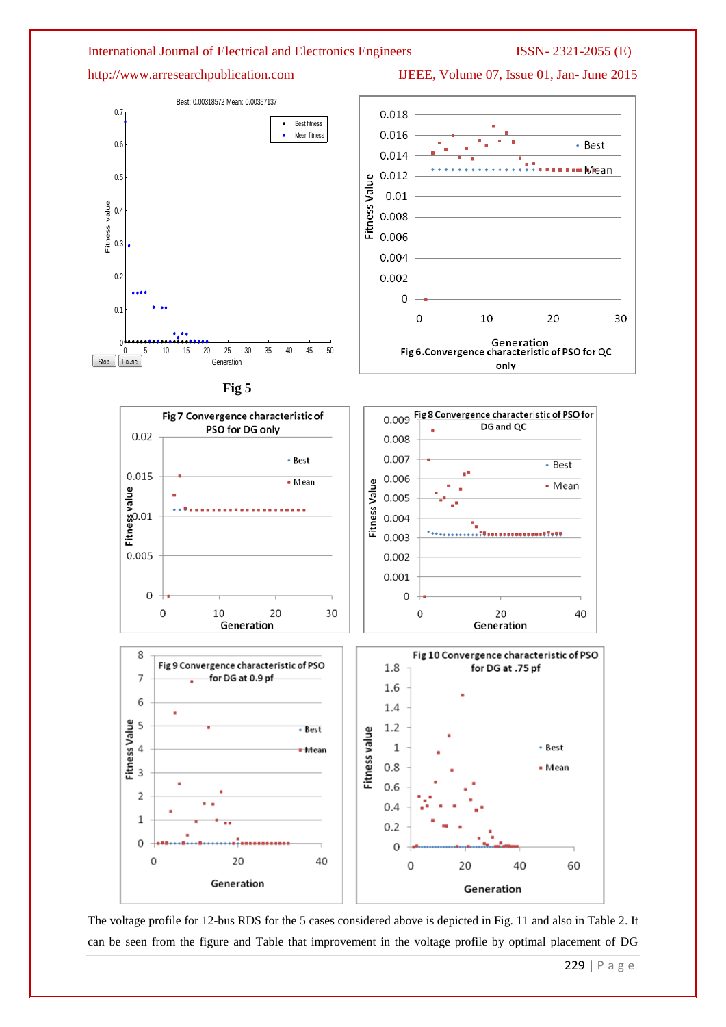http://www.arresearchpublication.com IJEEE, Volume 07, Issue 01, Jan- June 2015









The voltage profile for 12-bus RDS for the 5 cases considered above is depicted in Fig. 11 and also in Table 2. It can be seen from the figure and Table that improvement in the voltage profile by optimal placement of DG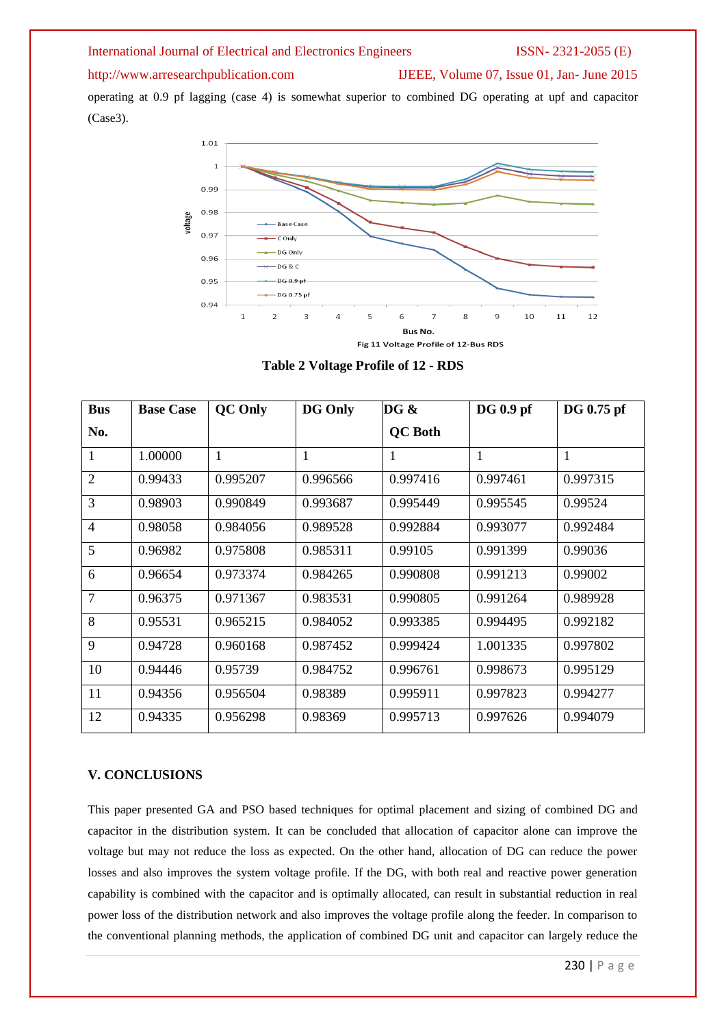# http://www.arresearchpublication.com IJEEE, Volume 07, Issue 01, Jan- June 2015

operating at 0.9 pf lagging (case 4) is somewhat superior to combined DG operating at upf and capacitor (Case3).



**Table 2 Voltage Profile of 12 - RDS**

| <b>Bus</b>     | <b>Base Case</b> | <b>QC</b> Only | <b>DG Only</b> | DG &           | DG 0.9 pf | DG 0.75 pf   |
|----------------|------------------|----------------|----------------|----------------|-----------|--------------|
| No.            |                  |                |                | <b>QC</b> Both |           |              |
| 1              | 1.00000          | 1              | 1              | 1              | 1         | $\mathbf{1}$ |
| $\overline{2}$ | 0.99433          | 0.995207       | 0.996566       | 0.997416       | 0.997461  | 0.997315     |
| 3              | 0.98903          | 0.990849       | 0.993687       | 0.995449       | 0.995545  | 0.99524      |
| $\overline{4}$ | 0.98058          | 0.984056       | 0.989528       | 0.992884       | 0.993077  | 0.992484     |
| 5              | 0.96982          | 0.975808       | 0.985311       | 0.99105        | 0.991399  | 0.99036      |
| 6              | 0.96654          | 0.973374       | 0.984265       | 0.990808       | 0.991213  | 0.99002      |
| $\overline{7}$ | 0.96375          | 0.971367       | 0.983531       | 0.990805       | 0.991264  | 0.989928     |
| 8              | 0.95531          | 0.965215       | 0.984052       | 0.993385       | 0.994495  | 0.992182     |
| 9              | 0.94728          | 0.960168       | 0.987452       | 0.999424       | 1.001335  | 0.997802     |
| 10             | 0.94446          | 0.95739        | 0.984752       | 0.996761       | 0.998673  | 0.995129     |
| 11             | 0.94356          | 0.956504       | 0.98389        | 0.995911       | 0.997823  | 0.994277     |
| 12             | 0.94335          | 0.956298       | 0.98369        | 0.995713       | 0.997626  | 0.994079     |

# **V. CONCLUSIONS**

This paper presented GA and PSO based techniques for optimal placement and sizing of combined DG and capacitor in the distribution system. It can be concluded that allocation of capacitor alone can improve the voltage but may not reduce the loss as expected. On the other hand, allocation of DG can reduce the power losses and also improves the system voltage profile. If the DG, with both real and reactive power generation capability is combined with the capacitor and is optimally allocated, can result in substantial reduction in real power loss of the distribution network and also improves the voltage profile along the feeder. In comparison to the conventional planning methods, the application of combined DG unit and capacitor can largely reduce the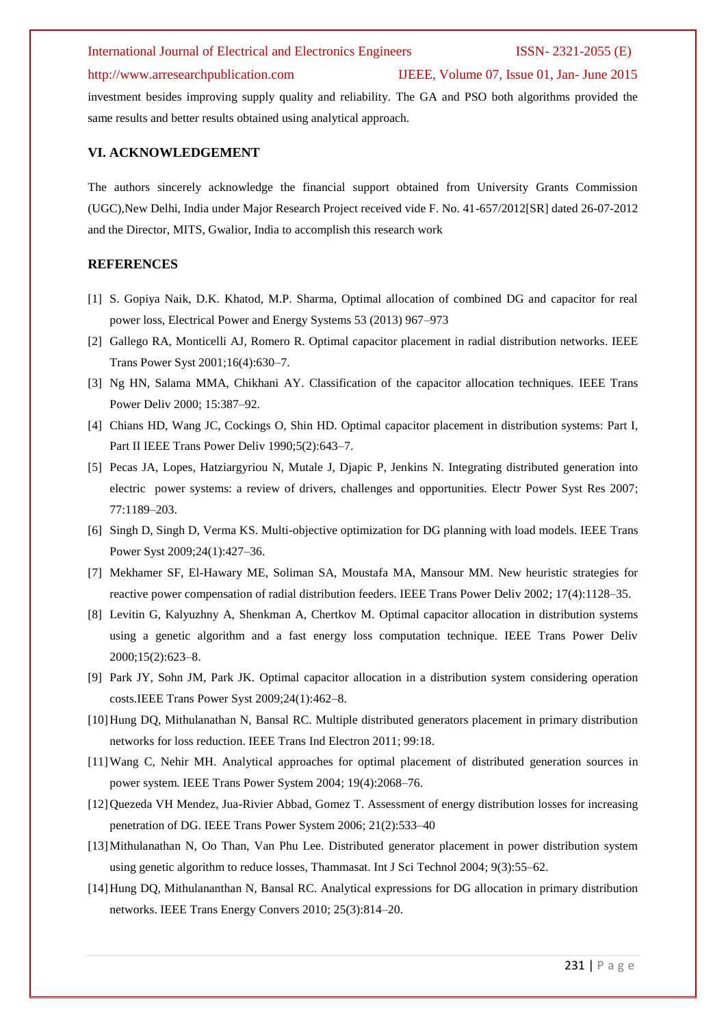# http://www.arresearchpublication.com IJEEE, Volume 07, Issue 01, Jan- June 2015

investment besides improving supply quality and reliability. The GA and PSO both algorithms provided the same results and better results obtained using analytical approach.

# **VI. ACKNOWLEDGEMENT**

The authors sincerely acknowledge the financial support obtained from University Grants Commission (UGC),New Delhi, India under Major Research Project received vide F. No. 41-657/2012[SR] dated 26-07-2012 and the Director, MITS, Gwalior, India to accomplish this research work

# **REFERENCES**

- [1] S. Gopiya Naik, D.K. Khatod, M.P. Sharma, Optimal allocation of combined DG and capacitor for real power loss, Electrical Power and Energy Systems 53 (2013) 967–973
- [2] Gallego RA, Monticelli AJ, Romero R. Optimal capacitor placement in radial distribution networks. IEEE Trans Power Syst 2001;16(4):630–7.
- [3] Ng HN, Salama MMA, Chikhani AY. Classification of the capacitor allocation techniques. IEEE Trans Power Deliv 2000; 15:387–92.
- [4] Chians HD, Wang JC, Cockings O, Shin HD. Optimal capacitor placement in distribution systems: Part I, Part II IEEE Trans Power Deliv 1990;5(2):643-7.
- [5] Pecas JA, Lopes, Hatziargyriou N, Mutale J, Djapic P, Jenkins N. Integrating distributed generation into electric power systems: a review of drivers, challenges and opportunities. Electr Power Syst Res 2007; 77:1189–203.
- [6] Singh D, Singh D, Verma KS. Multi-objective optimization for DG planning with load models. IEEE Trans Power Syst 2009;24(1):427–36.
- [7] Mekhamer SF, El-Hawary ME, Soliman SA, Moustafa MA, Mansour MM. New heuristic strategies for reactive power compensation of radial distribution feeders. IEEE Trans Power Deliv 2002; 17(4):1128–35.
- [8] Levitin G, Kalyuzhny A, Shenkman A, Chertkov M. Optimal capacitor allocation in distribution systems using a genetic algorithm and a fast energy loss computation technique. IEEE Trans Power Deliv 2000;15(2):623–8.
- [9] Park JY, Sohn JM, Park JK. Optimal capacitor allocation in a distribution system considering operation costs.IEEE Trans Power Syst 2009;24(1):462–8.
- [10]Hung DQ, Mithulanathan N, Bansal RC. Multiple distributed generators placement in primary distribution networks for loss reduction. IEEE Trans Ind Electron 2011; 99:18.
- [11]Wang C, Nehir MH. Analytical approaches for optimal placement of distributed generation sources in power system. IEEE Trans Power System 2004; 19(4):2068–76.
- [12]Quezeda VH Mendez, Jua-Rivier Abbad, Gomez T. Assessment of energy distribution losses for increasing penetration of DG. IEEE Trans Power System 2006; 21(2):533–40
- [13]Mithulanathan N, Oo Than, Van Phu Lee. Distributed generator placement in power distribution system using genetic algorithm to reduce losses, Thammasat. Int J Sci Technol 2004; 9(3):55–62.
- [14]Hung DQ, Mithulananthan N, Bansal RC. Analytical expressions for DG allocation in primary distribution networks. IEEE Trans Energy Convers 2010; 25(3):814–20.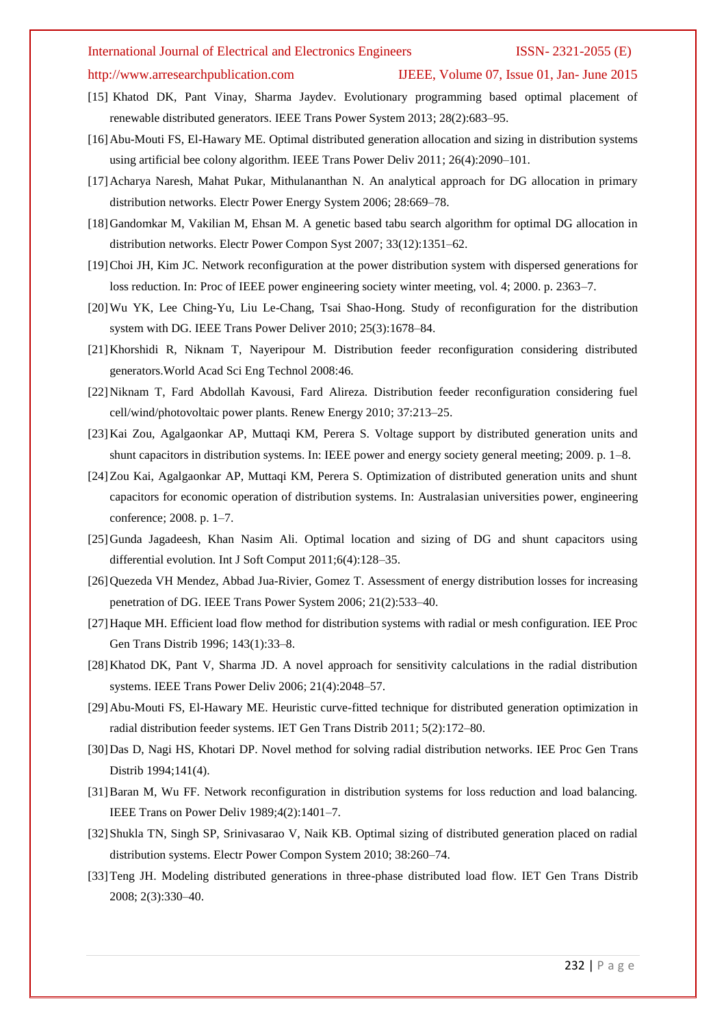# http://www.arresearchpublication.com IJEEE, Volume 07, Issue 01, Jan- June 2015

- [15] Khatod DK, Pant Vinay, Sharma Jaydev. Evolutionary programming based optimal placement of renewable distributed generators. IEEE Trans Power System 2013; 28(2):683–95.
- [16]Abu-Mouti FS, El-Hawary ME. Optimal distributed generation allocation and sizing in distribution systems using artificial bee colony algorithm. IEEE Trans Power Deliv 2011; 26(4):2090–101.
- [17] Acharya Naresh, Mahat Pukar, Mithulananthan N. An analytical approach for DG allocation in primary distribution networks. Electr Power Energy System 2006; 28:669–78.
- [18]Gandomkar M, Vakilian M, Ehsan M. A genetic based tabu search algorithm for optimal DG allocation in distribution networks. Electr Power Compon Syst 2007; 33(12):1351–62.
- [19]Choi JH, Kim JC. Network reconfiguration at the power distribution system with dispersed generations for loss reduction. In: Proc of IEEE power engineering society winter meeting, vol. 4; 2000. p. 2363–7.
- [20]Wu YK, Lee Ching-Yu, Liu Le-Chang, Tsai Shao-Hong. Study of reconfiguration for the distribution system with DG. IEEE Trans Power Deliver 2010; 25(3):1678–84.
- [21]Khorshidi R, Niknam T, Nayeripour M. Distribution feeder reconfiguration considering distributed generators.World Acad Sci Eng Technol 2008:46.
- [22]Niknam T, Fard Abdollah Kavousi, Fard Alireza. Distribution feeder reconfiguration considering fuel cell/wind/photovoltaic power plants. Renew Energy 2010; 37:213–25.
- [23]Kai Zou, Agalgaonkar AP, Muttaqi KM, Perera S. Voltage support by distributed generation units and shunt capacitors in distribution systems. In: IEEE power and energy society general meeting; 2009. p. 1–8.
- [24]Zou Kai, Agalgaonkar AP, Muttaqi KM, Perera S. Optimization of distributed generation units and shunt capacitors for economic operation of distribution systems. In: Australasian universities power, engineering conference; 2008. p. 1–7.
- [25]Gunda Jagadeesh, Khan Nasim Ali. Optimal location and sizing of DG and shunt capacitors using differential evolution. Int J Soft Comput 2011;6(4):128–35.
- [26] Quezeda VH Mendez, Abbad Jua-Rivier, Gomez T. Assessment of energy distribution losses for increasing penetration of DG. IEEE Trans Power System 2006; 21(2):533–40.
- [27]Haque MH. Efficient load flow method for distribution systems with radial or mesh configuration. IEE Proc Gen Trans Distrib 1996; 143(1):33–8.
- [28]Khatod DK, Pant V, Sharma JD. A novel approach for sensitivity calculations in the radial distribution systems. IEEE Trans Power Deliv 2006; 21(4):2048–57.
- [29]Abu-Mouti FS, El-Hawary ME. Heuristic curve-fitted technique for distributed generation optimization in radial distribution feeder systems. IET Gen Trans Distrib 2011; 5(2):172–80.
- [30]Das D, Nagi HS, Khotari DP. Novel method for solving radial distribution networks. IEE Proc Gen Trans Distrib 1994;141(4).
- [31]Baran M, Wu FF. Network reconfiguration in distribution systems for loss reduction and load balancing. IEEE Trans on Power Deliv 1989;4(2):1401–7.
- [32]Shukla TN, Singh SP, Srinivasarao V, Naik KB. Optimal sizing of distributed generation placed on radial distribution systems. Electr Power Compon System 2010; 38:260–74.
- [33]Teng JH. Modeling distributed generations in three-phase distributed load flow. IET Gen Trans Distrib 2008; 2(3):330–40.